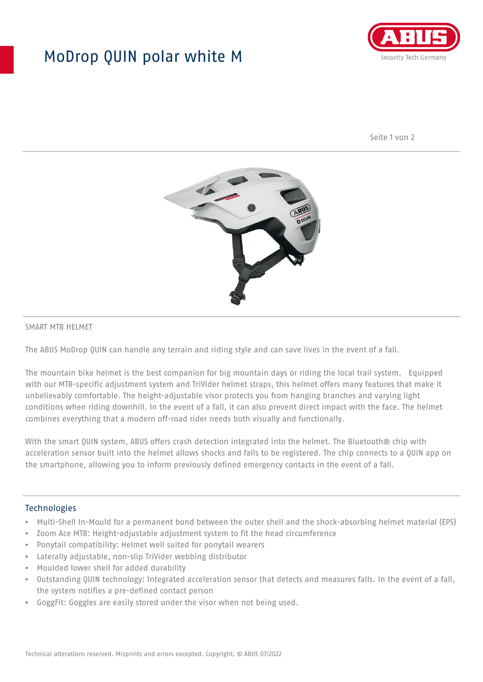## MoDrop QUIN polar white M



Seite 1 von 2



## SMART MTB HELMET

The ABUS MoDrop QUIN can handle any terrain and riding style and can save lives in the event of a fall.

The mountain bike helmet is the best companion for big mountain days or riding the local trail system. Equipped with our MTB-specific adjustment system and TriVider helmet straps, this helmet offers many features that make it unbelievably comfortable. The height-adjustable visor protects you from hanging branches and varying light conditions when riding downhill. In the event of a fall, it can also prevent direct impact with the face. The helmet combines everything that a modern off-road rider needs both visually and functionally.

With the smart QUIN system, ABUS offers crash detection integrated into the helmet. The Bluetooth® chip with acceleration sensor built into the helmet allows shocks and falls to be registered. The chip connects to a QUIN app on the smartphone, allowing you to inform previously defined emergency contacts in the event of a fall.

## **Technologies**

- Multi-Shell In-Mould for a permanent bond between the outer shell and the shock-absorbing helmet material (EPS)
- Zoom Ace MTB: Height-adjustable adjustment system to fit the head circumference
- Ponytail compatibility: Helmet well suited for ponytail wearers
- Laterally adjustable, non-slip TriVider webbing distributor
- Moulded lower shell for added durability
- Outstanding QUIN technology: Integrated acceleration sensor that detects and measures falls. In the event of a fall, the system notifies a pre-defined contact person
- GoggFit: Goggles are easily stored under the visor when not being used.